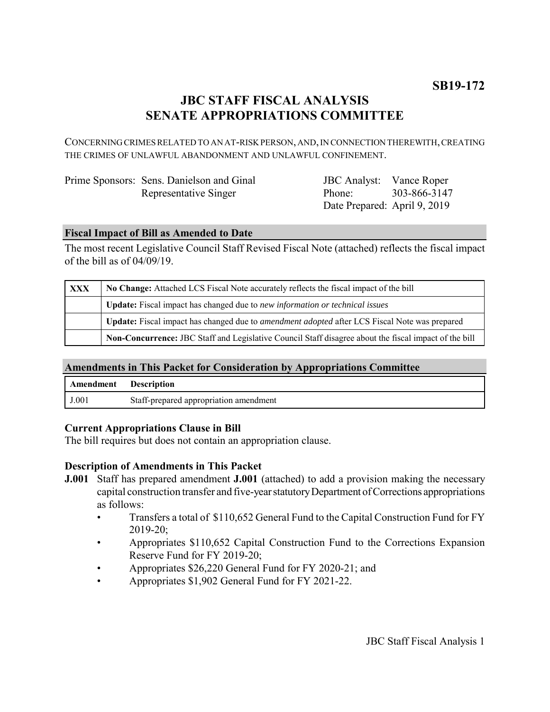# **JBC STAFF FISCAL ANALYSIS SENATE APPROPRIATIONS COMMITTEE**

CONCERNING CRIMES RELATED TO AN AT-RISK PERSON, AND, IN CONNECTION THEREWITH, CREATING THE CRIMES OF UNLAWFUL ABANDONMENT AND UNLAWFUL CONFINEMENT.

| Prime Sponsors: Sens. Danielson and Ginal |
|-------------------------------------------|
| Representative Singer                     |

JBC Analyst: Vance Roper Phone: Date Prepared: April 9, 2019 303-866-3147

# **Fiscal Impact of Bill as Amended to Date**

The most recent Legislative Council Staff Revised Fiscal Note (attached) reflects the fiscal impact of the bill as of 04/09/19.

| XXX | No Change: Attached LCS Fiscal Note accurately reflects the fiscal impact of the bill                       |  |
|-----|-------------------------------------------------------------------------------------------------------------|--|
|     | <b>Update:</b> Fiscal impact has changed due to new information or technical issues                         |  |
|     | <b>Update:</b> Fiscal impact has changed due to <i>amendment adopted</i> after LCS Fiscal Note was prepared |  |
|     | Non-Concurrence: JBC Staff and Legislative Council Staff disagree about the fiscal impact of the bill       |  |

## **Amendments in This Packet for Consideration by Appropriations Committee**

| Amendment | <b>Description</b>                     |
|-----------|----------------------------------------|
| J.001     | Staff-prepared appropriation amendment |

## **Current Appropriations Clause in Bill**

The bill requires but does not contain an appropriation clause.

## **Description of Amendments in This Packet**

- **J.001** Staff has prepared amendment **J.001** (attached) to add a provision making the necessary capital construction transfer and five-year statutory Department of Corrections appropriations as follows:
	- Transfers a total of \$110,652 General Fund to the Capital Construction Fund for FY 2019-20;
	- Appropriates \$110,652 Capital Construction Fund to the Corrections Expansion Reserve Fund for FY 2019-20;
	- Appropriates \$26,220 General Fund for FY 2020-21; and
	- Appropriates \$1,902 General Fund for FY 2021-22.